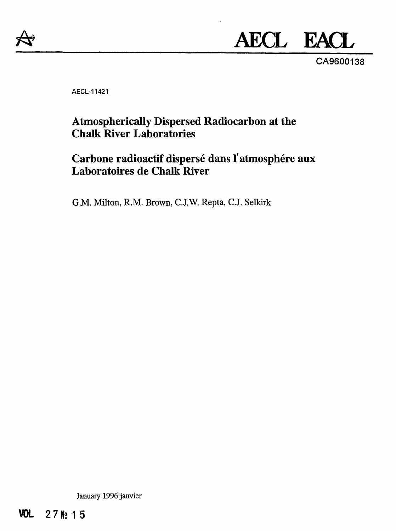

# **AECL EACL**

CA9600138

AECL-11421

# **Atmospherically Dispersed Radiocarbon at the Chalk River Laboratories**

# **Carbone radioactif dispersé dans l'atmosphère aux Laboratoires de Chalk River**

G.M. Milton, R.M. Brown, C.J.W. Repta, C.J. Selkirk

January 1996 janvier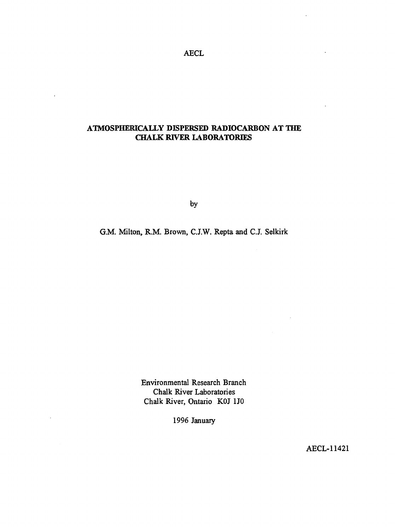AECL

## **ATMOSPHERICALLY DISPERSED RADIOCARBON AT THE CHALK RIVER LABORATORIES**

 $\ddot{\phantom{a}}$ 

 $\ddot{\phantom{a}}$ 

by

G.M. Milton, R.M. Brown, C.J.W. Repta and C.J. Selkirk

Environmental Research Branch Chalk River Laboratories Chalk River, Ontario KOJ 1J0

1996 January

AECL-11421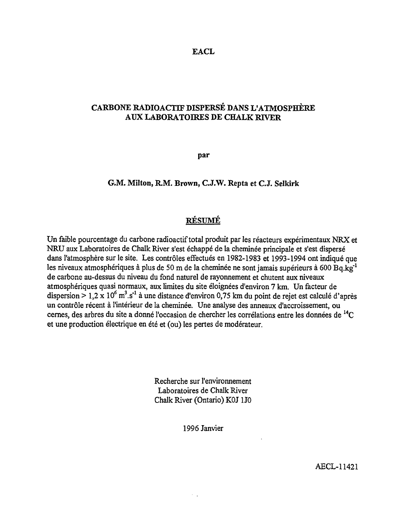#### **EACL**

## **CARBONE RADIOACTIF DISPERSÉ DANS L'ATMOSPHÈRE AUX LABORATOIRES DE CHALK RIVER**

**par**

#### **G.M. Milton, R.M. Brown, C.J.W. Repta et C.J. Selkirk**

#### RÉSUMÉ

Un faible pourcentage du carbone radioactif total produit par les réacteurs expérimentaux NRX et NRU aux Laboratoires de Chalk River s'est échappé de la cheminée principale et s'est dispersé dans l'atmosphère sur le site. Les contrôles effectués en 1982-1983 et 1993-1994 ont indiqué que les niveaux atmosphériques à plus de 50 m de la cheminée ne sont jamais supérieurs à 600 Bq.kg'<sup>1</sup> de carbone au-dessus du niveau du fond naturel de rayonnement et chutent aux niveaux atmosphériques quasi normaux, aux limites du site éloignées d'environ 7 km. Un facteur de dispersion  $> 1.2 \times 10^6$  m<sup>3</sup>.s<sup>-1</sup> à une distance d'environ 0,75 km du point de rejet est calculé d'après un contrôle récent à l'intérieur de la cheminée. Une analyse des anneaux d'accroissement, ou cernes, des arbres du site a donné l'occasion de chercher les corrélations entre les données de <sup>14</sup>C et une production électrique en été et (ou) les pertes de modérateur.

> Recherche sur l'environnement Laboratoires de Chalk River Chalk River (Ontario) KOJ1J0

> > 1996 Janvier

AECL-11421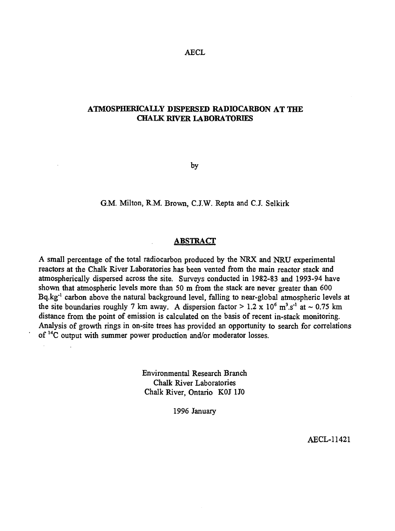AECL

### **ATMOSPHERICALLY DISPERSED RADIOCARBON AT THE CHALK RIVER LABORATORIES**

by

G.M. Milton, R.M. Brown, CJ.W. Repta and C.J. Selkirk

#### **ABSTRACT**

A small percentage of the total radiocarbon produced by the NRX and NRU experimental reactors at the Chalk River Laboratories has been vented from the main reactor stack and atmospherically dispersed across the site. Surveys conducted in 1982-83 and 1993-94 have shown that atmospheric levels more than 50 m from the stack are never greater than 600 Bq.kg<sup>-1</sup> carbon above the natural background level, falling to near-global atmospheric levels at the site boundaries roughly 7 km away. A dispersion factor  $> 1.2 \times 10^6$  m<sup>3</sup>.s<sup>-1</sup> at  $\sim 0.75$  km distance from the point of emission is calculated on the basis of recent in-stack monitoring. Analysis of growth rings in on-site trees has provided an opportunity to search for correlations of <sup>14</sup>C output with summer power production and/or moderator losses.

> Environmental Research Branch Chalk River Laboratories Chalk River, Ontario KOJ 1J0

> > 1996 January

AECL-11421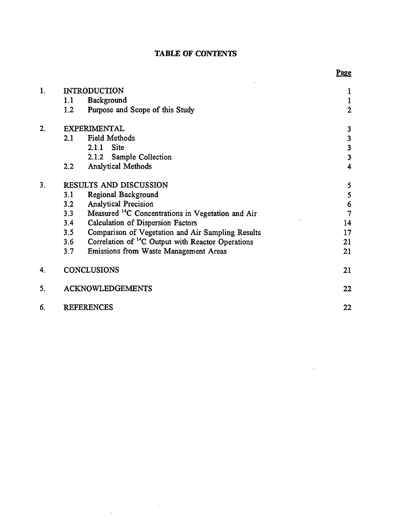|  |  | <b>TABLE OF CONTENTS</b> |
|--|--|--------------------------|
|--|--|--------------------------|

| 1. |     | <b>INTRODUCTION</b>                                           | 1                       |
|----|-----|---------------------------------------------------------------|-------------------------|
|    | 1.1 | <b>Background</b>                                             | $\mathbf{1}$            |
|    | 1.2 | Purpose and Scope of this Study                               | $\overline{2}$          |
| 2. |     | <b>EXPERIMENTAL</b>                                           | 3                       |
|    | 2.1 | <b>Field Methods</b>                                          | 3                       |
|    |     | <b>Site</b><br>2.1.1                                          | 3                       |
|    |     | 2.1.2 Sample Collection                                       | $\overline{\mathbf{3}}$ |
|    | 2.2 | Analytical Methods                                            | $\overline{4}$          |
| 3. |     | RESULTS AND DISCUSSION                                        | 5                       |
|    | 3.1 | Regional Background                                           | 5                       |
|    | 3.2 | <b>Analytical Precision</b>                                   | $\boldsymbol{6}$        |
|    | 3.3 | Measured <sup>14</sup> C Concentrations in Vegetation and Air | $\overline{7}$          |
|    | 3.4 | Calculation of Dispersion Factors                             | 14                      |
|    | 3.5 | Comparison of Vegetation and Air Sampling Results             | 17                      |
|    | 3.6 | Correlation of <sup>14</sup> C Output with Reactor Operations | 21                      |
|    | 3.7 | Emissions from Waste Management Areas                         | 21                      |
| 4. |     | <b>CONCLUSIONS</b>                                            | 21                      |
| 5. |     | <b>ACKNOWLEDGEMENTS</b>                                       | 22                      |
| 6. |     | <b>REFERENCES</b>                                             | 22                      |

 $\label{eq:2.1} \frac{1}{\sqrt{2}}\int_{\mathbb{R}^3}\frac{1}{\sqrt{2}}\left(\frac{1}{\sqrt{2}}\right)^2\frac{1}{\sqrt{2}}\left(\frac{1}{\sqrt{2}}\right)^2\frac{1}{\sqrt{2}}\left(\frac{1}{\sqrt{2}}\right)^2.$ 

## Page

 $\sim$ 

 $\bar{\mathcal{A}}$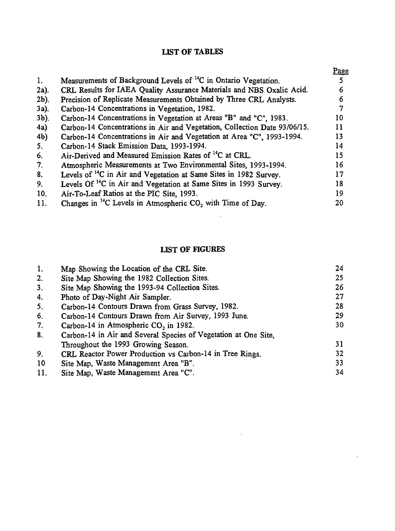## **LIST OF TABLES**

|                |                                                                               | <u>Page</u> |
|----------------|-------------------------------------------------------------------------------|-------------|
| 1.             | Measurements of Background Levels of <sup>14</sup> C in Ontario Vegetation.   |             |
| $2a$ ).        | CRL Results for IAEA Quality Assurance Materials and NBS Oxalic Acid.         | 6           |
| $2b$ ).        | Precision of Replicate Measurements Obtained by Three CRL Analysts.           | 6           |
| $3a$ ).        | Carbon-14 Concentrations in Vegetation, 1982.                                 | 7           |
| $3b$ ).        | Carbon-14 Concentrations in Vegetation at Areas "B" and "C", 1983.            | 10          |
| 4a)            | Carbon-14 Concentrations in Air and Vegetation, Collection Date 93/06/15.     | 11          |
| 4 <sub>b</sub> | Carbon-14 Concentrations in Air and Vegetation at Area "C", 1993-1994.        | 13          |
| 5.             | Carbon-14 Stack Emission Data, 1993-1994.                                     | 14          |
| 6.             | Air-Derived and Measured Emission Rates of <sup>14</sup> C at CRL.            | 15          |
| 7 <sub>1</sub> | Atmospheric Measurements at Two Environmental Sites, 1993-1994.               | 16          |
| 8.             | Levels of <sup>14</sup> C in Air and Vegetation at Same Sites in 1982 Survey. | 17          |
| 9.             | Levels Of <sup>14</sup> C in Air and Vegetation at Same Sites in 1993 Survey. | 18          |
| 10.            | Air-To-Leaf Ratios at the PIC Site, 1993.                                     | 19          |
| 11.            | Changes in <sup>14</sup> C Levels in Atmospheric $CO2$ with Time of Day.      | 20          |

## **LIST OF FIGURES**

 $\mathcal{L}^{\text{max}}_{\text{max}}$  , where  $\mathcal{L}^{\text{max}}_{\text{max}}$ 

 $\sim 10^{11}$ 

| 1.             | Map Showing the Location of the CRL Site.                       | 24 |
|----------------|-----------------------------------------------------------------|----|
| 2.             | Site Map Showing the 1982 Collection Sites.                     | 25 |
| 3 <sub>1</sub> | Site Map Showing the 1993-94 Collection Sites.                  | 26 |
| 4.             | Photo of Day-Night Air Sampler.                                 | 27 |
| 5.             | Carbon-14 Contours Drawn from Grass Survey, 1982.               | 28 |
| 6.             | Carbon-14 Contours Drawn from Air Survey, 1993 June.            | 29 |
| 7.             | Carbon-14 in Atmospheric CO, in 1982.                           | 30 |
| 8.             | Carbon-14 in Air and Several Species of Vegetation at One Site, |    |
|                | Throughout the 1993 Growing Season.                             | 31 |
| 9.             | CRL Reactor Power Production vs Carbon-14 in Tree Rings.        | 32 |
| 10             | Site Map, Waste Management Area "B".                            | 33 |
| 11.            | Site Map, Waste Management Area "C".                            | 34 |

 $\sim 10^{-10}$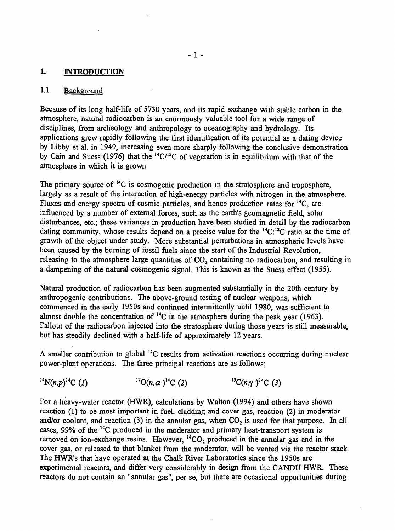#### 1. INTRODUCTION

#### 1.1 Background

Because of its long half-life of 5730 years, and its rapid exchange with stable carbon in the atmosphere, natural radiocarbon is an enormously valuable tool for a wide range of disciplines, from archeology and anthropology to oceanography and hydrology. Its applications grew rapidly following the first identification of its potential as a dating device by Libby et al. in 1949, increasing even more sharply following the conclusive demonstration by Cain and Suess (1976) that the  ${}^{14}$ C/<sup>12</sup>C of vegetation is in equilibrium with that of the atmosphere in which it is grown.

The primary source of  $^{14}C$  is cosmogenic production in the stratosphere and troposphere, largely as a result of the interaction of high-energy particles with nitrogen in the atmosphere. Fluxes and energy spectra of cosmic particles, and hence production rates for <sup>14</sup>C, are influenced by a number of external forces, such as the earth's geomagnetic field, solar disturbances, etc.; these variances in production have been studied in detail by the radiocarbon dating community, whose results depend on a precise value for the <sup>14</sup>C:<sup>12</sup>C ratio at the time of growth of the object under study. More substantial perturbations in atmospheric levels have been caused by the burning of fossil fuels since the start of the Industrial Revolution, releasing to the atmosphere large quantities of  $CO<sub>2</sub>$  containing no radiocarbon, and resulting in a dampening of the natural cosmogenic signal. This is known as the Suess effect (1955).

Natural production of radiocarbon has been augmented substantially in the 20th century by anthropogenic contributions. The above-ground testing of nuclear weapons, which commenced in the early 1950s and continued intermittently until 1980, was sufficient to almost double the concentration of  $^{14}$ C in the atmosphere during the peak year (1963). Fallout of the radiocarbon injected into the stratosphere during those years is still measurable, but has steadily declined with a half-life of approximately 12 years.

A smaller contribution to global <sup>14</sup>C results from activation reactions occurring during nuclear power-plant operations. The three principal reactions are as follows;

 $^{14}N(n,p)^{14}C$  (1)  ${}^{17}O(n,\alpha)^{14}C$  (2)<sup>13</sup>C(n,y)<sup>14</sup>C (3)<sup>2</sup>

For a heavy-water reactor (HWR), calculations by Walton (1994) and others have shown reaction (1) to be most important in fuel, cladding and cover gas, reaction (2) in moderator and/or coolant, and reaction (3) in the annular gas, when  $CO<sub>2</sub>$  is used for that purpose. In all cases, 99% of the <sup>14</sup>C produced in the moderator and primary heat-transport system is removed on ion-exchange resins. However,  $^{14}CO_2$  produced in the annular gas and in the cover gas, or released to that blanket from the moderator, will be vented via the reactor stack. The HWR's that have operated at the Chalk River Laboratories since the 1950s are experimental reactors, and differ very considerably in design from the CANDU HWR. These reactors do not contain an "annular gas", per se, but there are occasional opportunities during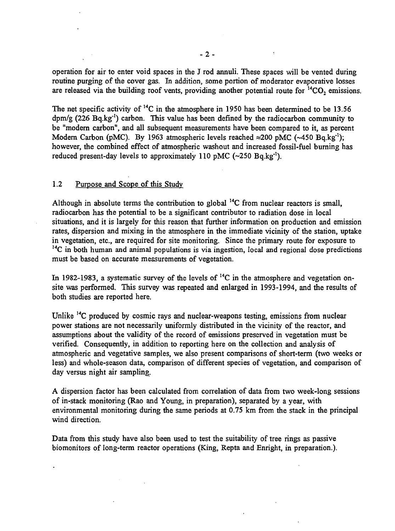operation for air to enter void spaces in the J rod annuli. These spaces will be vented during routine purging of the cover gas. In addition, some portion of moderator evaporative losses are released via the building roof vents, providing another potential route for  $14CO_2$  emissions.

The net specific activity of  $^{14}$ C in the atmosphere in 1950 has been determined to be 13.56 dpm/g (226 Bq.kg<sup>-1</sup>) carbon. This value has been defined by the radiocarbon community to be "modern carbon", and all subsequent measurements have been compared to it, as percent Modern Carbon (pMC). By 1963 atmospheric levels reached  $\approx$  200 pMC (~450 Bq.kg<sup>-1</sup>); however, the combined effect of atmospheric washout and increased fossil-fuel burning has reduced present-day levels to approximately 110 pMC ( $\sim$ 250 Bq.kg<sup>-1</sup>).

#### 1.2 Purpose and Scope of this Study

Although in absolute terms the contribution to global <sup>14</sup>C from nuclear reactors is small, radiocarbon has the potential to be a significant contributor to radiation dose in local situations, and it is largely for this reason that further information on production and emission rates, dispersion and mixing in the atmosphere in the immediate vicinity of the station, uptake in vegetation, etc., are required for site monitoring. Since the primary route for exposure to  $14$ C in both human and animal populations is via ingestion, local and regional dose predictions must be based on accurate measurements of vegetation.

In 1982-1983, a systematic survey of the levels of  $^{14}C$  in the atmosphere and vegetation onsite was performed. This survey was repeated and enlarged in 1993-1994, and the results of both studies are reported here.

Unlike <sup>14</sup>C produced by cosmic rays and nuclear-weapons testing, emissions from nuclear power stations are not necessarily uniformly distributed in the vicinity of the reactor, and assumptions about the validity of the record of emissions preserved in vegetation must be verified. Consequently, in addition to reporting here on the collection and analysis of atmospheric and vegetative samples, we also present comparisons of short-term (two weeks or less) and whole-season data, comparison of different species of vegetation, and comparison of day versus night air sampling.

A dispersion factor has been calculated from correlation of data from two week-long sessions of in-stack monitoring (Rao and Young, in preparation), separated by a year, with environmental monitoring during the same periods at 0.75 km from the stack in the principal wind direction.

Data from this study have also been used to test the suitability of tree rings as passive biomonitors of long-term reactor operations (King, Repta and Enright, in preparation.).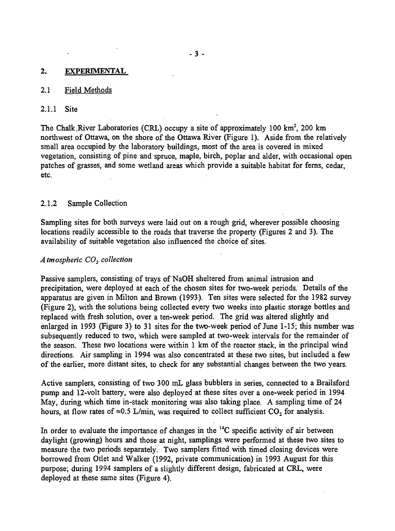#### 2. EXPERIMENTAL

#### 2.1 Field Methods

#### 2.1.1 Site

The Chalk River Laboratories (CRL) occupy a site of approximately 100 km<sup>2</sup>, 200 km northwest of Ottawa, on the shore of the Ottawa River (Figure 1). Aside from the relatively small area occupied by the laboratory buildings, most of the area is covered in mixed vegetation, consisting of pine and spruce, maple, birch, poplar and alder, with occasional open patches of grasses, and some wetland areas which provide a suitable habitat for ferns, cedar, etc.

#### 2.1.2 Sample Collection

Sampling sites for both surveys were laid out on a rough grid, wherever possible choosing locations readily accessible to the roads that traverse the property (Figures 2 and 3). The availability of suitable vegetation also influenced the choice of sites.

#### *Atmospheric CO2 collection*

Passive samplers, consisting of trays of NaOH sheltered from animal intrusion and precipitation, were deployed at each of the chosen sites for two-week periods. Details of the apparatus are given in Milton and Brown (1993). Ten sites were selected for the 1982 survey (Figure 2), with the solutions being collected every two weeks into plastic storage bottles and replaced with fresh solution, over a ten-week period. The grid was altered slightly and enlarged in 1993 (Figure 3) to 31 sites for the two-week period of June 1-15; this number was subsequently reduced to two, which were sampled at two-week intervals for the remainder of the season. These two locations were within 1 km of the reactor stack, in the principal wind directions. Air sampling in 1994 was also concentrated at these two sites, but included a few of the earlier, more distant sites, to check for any substantial changes between the two years.

Active samplers, consisting of two 300 mL glass bubblers in series, connected to a Brailsford pump and 12-volt battery, were also deployed at these sites over a one-week period in 1994 May, during which time in-stack monitoring was also taking place. A sampling time of 24 hours, at flow rates of  $\approx 0.5$  L/min, was required to collect sufficient CO<sub>2</sub> for analysis.

In order to evaluate the importance of changes in the <sup>14</sup>C specific activity of air between daylight (growing) hours and those at night, samplings were performed at these two sites to measure the two periods separately. Two samplers fitted with timed closing devices were borrowed from Otlet and Walker (1992, private communication) in 1993 August for this purpose; during 1994 samplers of a slightly different design, fabricated at CRL, were deployed at these same sites (Figure 4).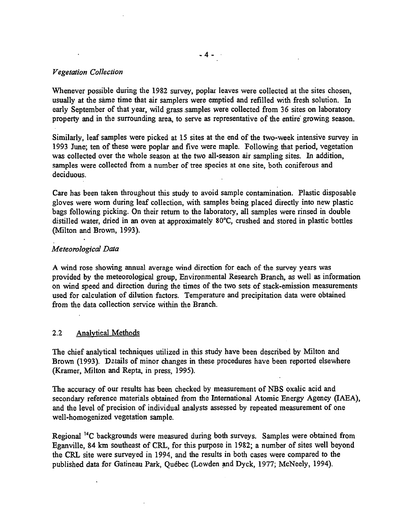#### *Vegetation Collection*

Whenever possible during the 1982 survey, poplar leaves were collected at the sites chosen, usually at the same time that air samplers were emptied and refilled with fresh solution. In early September of that year, wild grass samples were collected from 36 sites on laboratory property and in the surrounding area, to serve as representative of the entire growing season.

Similarly, leaf samples were picked at 15 sites at the end of the two-week intensive survey in 1993 June; ten of these were poplar and five were maple. Following that period, vegetation was collected over the whole season at the two all-season air sampling sites. In addition, samples were collected from a number of tree species at one site, both coniferous and deciduous.

Care has been taken throughout this study to avoid sample contamination. Plastic disposable gloves were worn during leaf collection, with samples being placed directly into new plastic bags following picking. On their return to the laboratory, all samples were rinsed in double distilled water, dried in an oven at approximately 80°C, crushed and stored in plastic bottles (Milton and Brown, 1993).

#### *Meteorological Data*

*A* wind rose showing annual average wind direction for each of the survey years was provided by the meteorological group, Environmental Research Branch, as well as information on wind speed and direction during the times of the two sets of stack-emission measurements used for calculation of dilution factors. Temperature and precipitation data were obtained from the data collection service within the Branch.

#### 2.2 Analytical Methods

The chief analytical techniques utilized in this study have been described by Milton and Brown (1993). Datails of minor changes in these procedures have been reported elsewhere (Kramer, Milton and Repta, in press, 1995).

The accuracy of our results has been checked by measurement of NBS oxalic acid and secondary reference materials obtained from the International Atomic Energy Agency (IAEA), and the level of precision of individual analysts assessed by repeated measurement of one well-homogenized vegetation sample.

Regional <sup>14</sup>C backgrounds were measured during both surveys. Samples were obtained from Eganville, 84 km southeast of CRL, for this purpose in 1982; a number of sites well beyond the CRL site were surveyed in 1994, and the results in both cases were compared to the published data for Gatineau Park, Québec (Lowden and Dyck, 1977; McNeely, 1994).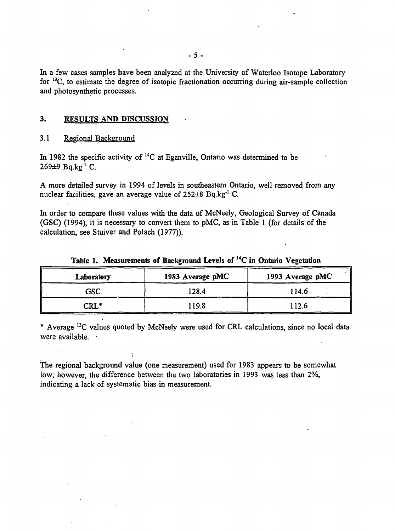In a few cases samples have been analyzed at the University of Waterloo Isotope Laboratory for <sup>13</sup>C, to estimate the degree of isotopic fractionation occurring during air-sample collection and photosynthetic processes.

#### **3. RESULTS AND DISCUSSION**

#### 3.1 Regional Background

**In** 1982 the specific activity of <sup>14</sup>C at Eganville, Ontario was determined to be 269±9 Bq.kg<sup>-1</sup> C.

A more detailed survey in 1994 of levels in southeastern Ontario, well removed from any nuclear facilities, gave an average value of 252±8 Bq.kg<sup>-1</sup> C.

In order to compare these values with the data of McNeely, Geological Survey of Canada (GSC) (1994), it is necessary to convert them to pMC, as in Table 1 (for details of the calculation, see Stuiver and Polach (1977)).

| Laboratory       | 1983 Average pMC | 1993 Average pMC |
|------------------|------------------|------------------|
| GSC              | 128.4            | 114.6            |
| $\mathtt{CRL}^*$ | 119.8            | 112.6            |

**Table 1. Measurements of Background Levels of "C in Ontario Vegetation**

\* Average <sup>13</sup>C values quoted by McNeely were used for CRL calculations, since no local data were available. ·

The regional background value (one measurement) used for 1983 appears to be somewhat low; however, the difference between the two laboratories in 1993 was less than 2%, indicating a lack of systematic bias in measurement.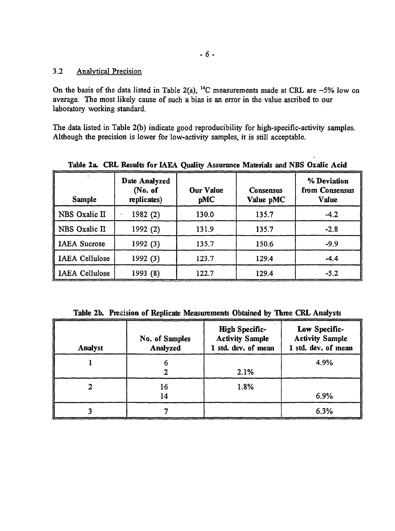#### 3.2 Analytical Precision

On the basis of the data listed in Table 2(a), <sup>14</sup>C measurements made at CRL are ~5% low on average. The most likely cause of such a bias is an error in the value ascribed to our laboratory working standard.

The data listed in Table 2(b) indicate good reproducibility for high-specific-activity samples. Although the precision is lower for low-activity samples, it is still acceptable.

| <b>Sample</b>         | Date Analyzed<br>(No. of<br>replicates) | <b>Our Value</b><br>pMC | <b>Consensus</b><br>Value pMC | % Deviation<br>from Consensus<br>Value |
|-----------------------|-----------------------------------------|-------------------------|-------------------------------|----------------------------------------|
| NBS Oxalic II         | 1982 (2)                                | 130.0                   | 135.7                         | $-4.2$                                 |
| NBS Oxalic II         | 1992 (2)                                | 131.9                   | 135.7                         | $-2.8$                                 |
| <b>IAEA</b> Sucrose   | 1992 (3)                                | 135.7                   | 150.6                         | $-9.9$                                 |
| <b>IAEA Cellulose</b> | 1992 (3)                                | 123.7                   | 129.4                         | $-4.4$                                 |
| <b>IAEA Cellulose</b> | 1993 (8)                                | 122.7                   | 129.4                         | $-5.2$                                 |

**Table 2a. CRL Results for IAEA Quality Assurance Materials and NBS Oxalic Acid**

**Table 2b. Precision of Replicate Measurements Obtained by Three CRL Analysts**

| Analyst | No. of Samples<br>Analyzed | <b>High Specific-</b><br><b>Activity Sample</b><br>1 std. dev. of mean | Low Specific-<br><b>Activity Sample</b><br>1 std. dev. of mean |
|---------|----------------------------|------------------------------------------------------------------------|----------------------------------------------------------------|
|         |                            | 2.1%                                                                   | 4.9%                                                           |
|         | 16<br>14                   | 1.8%                                                                   | 6.9%                                                           |
|         |                            |                                                                        | 6.3%                                                           |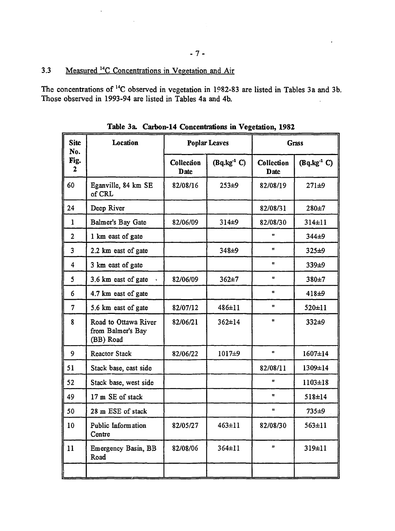$\ddot{\phantom{a}}$ 

The concentrations of <sup>14</sup>C observed in vegetation in 1982-83 are listed in Tables 3a and 3b. Those observed in 1993-94 are listed in Tables 4a and 4b.

| <b>Site</b><br>No.      | Location                                               |                           | <b>Poplar Leaves</b> |                           | <b>Grass</b>      |  |
|-------------------------|--------------------------------------------------------|---------------------------|----------------------|---------------------------|-------------------|--|
| Fig.<br>$\mathbf{2}$    |                                                        | Collection<br><b>Date</b> | $(Bq.kg-1 C)$        | Collection<br><b>Date</b> | $(Bq.kg-1)$       |  |
| 60                      | Eganville, 84 km SE<br>of CRL                          | 82/08/16                  | $253+9$              | 82/08/19                  | $271 + 9$         |  |
| 24                      | Deep River                                             |                           |                      | 82/08/31                  | $280 + 7$         |  |
| $\mathbf{1}$            | Balmer's Bay Gate                                      | 82/06/09                  | $314 + 9$            | 82/08/30                  | $314 \pm 11$      |  |
| $\overline{2}$          | 1 km east of gate                                      |                           |                      | n                         | 344±9             |  |
| $\overline{3}$          | 2.2 km east of gate                                    |                           | 348±9                | $\mathbf{H}$              | $325 + 9$         |  |
| $\overline{\mathbf{4}}$ | 3 km east of gate                                      |                           |                      | Ħ                         | 339±9             |  |
| 5                       | 3.6 km east of gate                                    | 82/06/09                  | $362 + 7$            | u.                        | 380±7             |  |
| 6                       | 4.7 km east of gate                                    |                           |                      | $\mathbf{u}$              | 418 <sup>±9</sup> |  |
| $\overline{7}$          | 5.6 km east of gate                                    | 82/07/12                  | 486±11               | $\mathbf{H}$              | 520±11            |  |
| 8                       | Road to Ottawa River<br>from Balmer's Bay<br>(BB) Road | 82/06/21                  | $362 \pm 14$         | $\mathbf{u}$              | $332+9$           |  |
| 9                       | <b>Reactor Stack</b>                                   | 82/06/22                  | 1017±9               | $\mathbf{u}$              | 1607±14           |  |
| 51                      | Stack base, cast side                                  |                           |                      | 82/08/11                  | 1309±14           |  |
| 52                      | Stack base, west side                                  |                           |                      | Ħ                         | $1103 \pm 18$     |  |
| 49                      | 17 m SE of stack                                       |                           |                      | Ħ                         | $518 \pm 14$      |  |
| 50                      | 28 m ESE of stack                                      |                           |                      | $\mathbf{u}$              | $735 + 9$         |  |
| 10                      | Public Information<br>Centre                           | 82/05/27                  | $463 \pm 11$         | 82/08/30                  | $563 \pm 11$      |  |
| 11                      | Emergency Basin, BB<br>Road                            | 82/08/06                  | $364 \pm 11$         | n.                        | 319±11            |  |
|                         |                                                        |                           |                      |                           |                   |  |

**Table 3a. Carbon-14 Concentrations in Vegetation, 1982**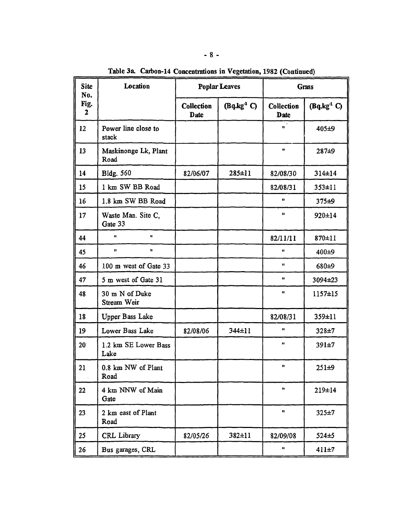| <b>Site</b><br>No. | Location                      | <b>Poplar Leaves</b>      |                        |                           | <b>Grass</b>  |
|--------------------|-------------------------------|---------------------------|------------------------|---------------------------|---------------|
| Fig.<br>2          |                               | Collection<br><b>Date</b> | $(Bq \cdot kg^{-1} C)$ | Collection<br><b>Date</b> | $(Bq.kg-1 C)$ |
| 12                 | Power line close to<br>stack  |                           |                        | $\mathbf{u}^{\top}$       | 405±9         |
| 13                 | Maskinonge Lk, Plant<br>Road  |                           |                        | Ħ                         | 287±9         |
| 14                 | <b>Bldg. 560</b>              | 82/06/07                  | $285 \pm 11$           | 82/08/30                  | 314±14        |
| 15                 | 1 km SW BB Road               |                           |                        | 82/08/31                  | $353 \pm 11$  |
| I <sub>6</sub>     | 1.8 km SW BB Road             |                           |                        | n                         | $375 + 9$     |
| 17                 | Waste Man. Site C,<br>Gate 33 |                           |                        | Ħ.                        | 920±14        |
| 44                 | $\pmb{\mathfrak{u}}$<br>Ħ     |                           |                        | 82/11/11                  | 870±11        |
| 45                 | $\mathbf{H}$<br>11            |                           |                        | Ħ                         | $400 + 9$     |
| 46                 | 100 m west of Gate 33         |                           |                        | Ħ                         | 680±9         |
| 47                 | 5 m west of Gate 31           |                           |                        | Ħ                         | 3094±23       |
| 48                 | 30 m N of Duke<br>Stream Weir |                           |                        | $\mathbf{u}$              | $1157 \pm 15$ |
| 18                 | Upper Bass Lake               |                           |                        | 82/08/31                  | 359±11        |
| 19                 | Lower Bass Lake               | 82/08/06                  | 344±11                 | Ħ                         | $328 + 7$     |
| $20^{\circ}$       | 1.2 km SE Lower Bass<br>Lake  |                           |                        | 11                        | 391±7         |
| 21                 | 0.8 km NW of Plant<br>Road    |                           |                        | Ħ                         | $251 + 9$     |
| 22                 | 4 km NNW of Main<br>Gate      |                           |                        | n                         | 219±14        |
| 23                 | 2 km east of Plant<br>Road    |                           |                        | $\pmb{\mathfrak{m}}$      | $325 + 7$     |
| 25                 | <b>CRL</b> Library            | 82/05/26                  | 382±11                 | 82/09/08                  | $524 \pm 5$   |
| 26                 | Bus garages, CRL              |                           |                        | u                         | $411 \pm 7$   |

Table 3a. Carbon-14 Concentrations in Vegetation, 1982 (Continued)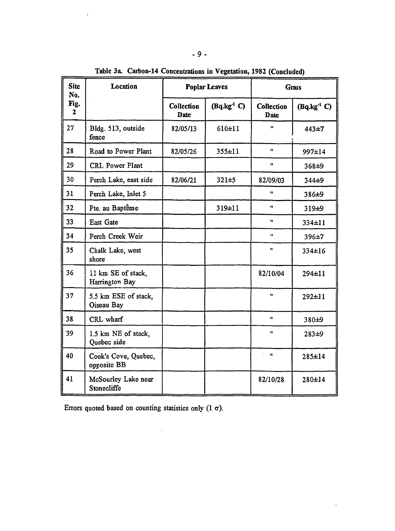| <b>Site</b><br>No.       | Location<br><b>Poplar Leaves</b>     |                           |              | Grass                |               |
|--------------------------|--------------------------------------|---------------------------|--------------|----------------------|---------------|
| Fig.<br>$\boldsymbol{2}$ |                                      | Collection<br><b>Date</b> | $(Bq.kg-1)$  | Collection<br>Date   | $(Bq.kg-1 C)$ |
| 27                       | Bldg. 513, outside<br>fence          | 82/05/13                  | 610±11       | $\mathbf{u}$         | 443±7         |
| 28                       | Road to Power Plant                  | 82/05/26                  | $355 \pm 11$ | $\mathbf{u}$         | 997±14        |
| 29                       | CRL Power Plant                      |                           |              | $\pmb{\mathfrak{m}}$ | 368±9         |
| 30                       | Perch Lake, east side                | 82/06/21                  | $321 + 5$    | 82/09/03             | 344±9         |
| 31                       | Perch Lake, Inlet 5                  |                           |              | Ĥ.                   | 386±9         |
| 32                       | Pte. au Baptême                      |                           | 319±11       | $\mathbf{u}$         | 319±9         |
| 33                       | East Gate                            |                           |              | Ħ.                   | 334±11        |
| 34                       | Perch Creek Weir                     |                           |              | ¥Î.                  | 396±7         |
| 35                       | Chalk Lake, west<br>shore            |                           |              | $\mathbf{u}$         | $334 \pm 16$  |
| 36                       | il km SE of stack,<br>Harrington Bay |                           |              | 82/10/04             | 294±11        |
| 37                       | 5.5 km ESE of stack,<br>Oiseau Bay   |                           |              | $\mathbf{u}$         | $292 \pm 11$  |
| 38                       | CRL wharf                            |                           |              | Ħ                    | 380±9         |
| 39                       | 1.5 km NE of stack,<br>Quebec side   |                           |              | $\mathbf{u}$         | $283 + 9$     |
| 40                       | Cook's Cove, Quebec,<br>opposite BB  |                           |              | $\mathbf{u}$         | 285±14        |
| 41                       | McSourley Lake near<br>Stonecliffe   |                           |              | 82/10/28             | 280±14        |

 $\mathcal{L}_{\mathcal{A}}$ 

**Table** 3a. **Caibon-14 Concentrations in Vegetation, 1982 (Concluded)**

Errors quoted based on counting statistics only  $(1 \sigma)$ .

 $\sim$   $\sim$ 

 $\ddot{\phantom{0}}$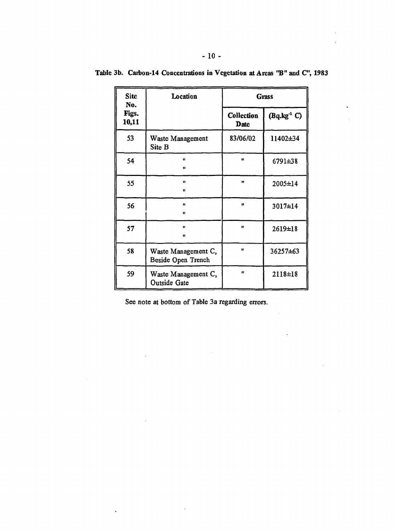| <b>Site</b><br>No. | Location                                  |                    | Grass         |
|--------------------|-------------------------------------------|--------------------|---------------|
| Figs.<br>10,11     |                                           | Collection<br>Date | $(Bq.kg-1)$   |
| 53                 | Waste Management<br>Site B                | 83/06/02           | 11402±34      |
| 54                 | Ħ<br>u                                    | $\mathbf{u}$       | 6791±38       |
| 55                 | $\blacksquare$<br>n                       | n                  | 2005±14       |
| 56                 | Ħ<br>u                                    | $\mathbf{u}$       | 3017±14       |
| 57                 | n<br>n                                    | Ħ                  | 2619±18       |
| 58                 | Waste Management C,<br>Beside Open Trench | u                  | 36257±63      |
| 59                 | Waste Management C,<br>Outside Gate       | Ħ                  | $2118 \pm 18$ |

**Table 3b. Caibon-14 Concentrations in Vegetation at Areas "B" and C", 1983**

See note at bottom of Table 3a regarding errors.

 $\cdot$ 

 $\mathcal{L}^{\text{max}}$ 

 $\mathbb{R}^2$ 

 $\hat{\mathcal{L}}$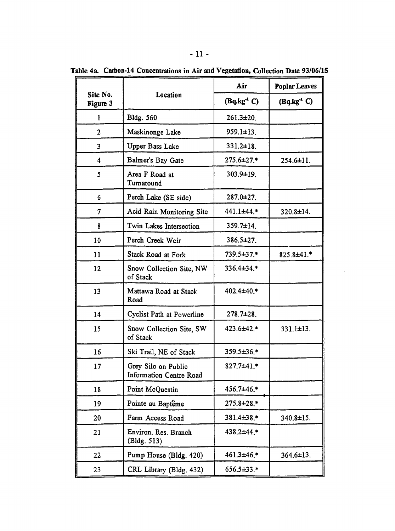| on-14 Concentrations in Air and Vegetation, Collection Date 93/06 |                  |                      |  |  |  |
|-------------------------------------------------------------------|------------------|----------------------|--|--|--|
|                                                                   | Air              | <b>Poplar Leaves</b> |  |  |  |
| Location                                                          | $(Bq.kg-1 C)$    | $(Bq.kg-1 C)$        |  |  |  |
| <b>Bldg. 560</b>                                                  | $261.3 \pm 20.$  |                      |  |  |  |
| Maskinonge Lake                                                   | 959.1±13.        |                      |  |  |  |
| Upper Bass Lake                                                   | $331.2 \pm 18$ . |                      |  |  |  |
| Balmer's Bay Gate                                                 | 275.6±27.*       | 254.6±11.            |  |  |  |
| Area F Road at<br>Turnaround                                      | $303.9 \pm 19.$  |                      |  |  |  |
| Perch Lake (SE side)                                              | $287.0 \pm 27.$  |                      |  |  |  |
| Acid Rain Monitoring Site                                         | 441.1±44.*       | 320.8±14.            |  |  |  |
| Twin Lakes Intersection                                           | $359.7 \pm 14$ . |                      |  |  |  |
| Perch Creek Weir                                                  | $386.5 \pm 27.$  |                      |  |  |  |
| Stack Road at Fork                                                | 739.5±37.*       | $825.8 \pm 41.*$     |  |  |  |

Table 4a. Carbon-14 Concentrations in Air and Vegetation, Collection Date 93/06/15

Site No. Figure 3 1

| Upper Bass Lake<br>$331.2 \pm 18.$<br>3<br>275.6±27.*<br>Balmer's Bay Gate<br>4<br>Area F Road at<br>303.9±19.<br>5<br>Turnaround<br>Perch Lake (SE side)<br>$287.0 \pm 27.$<br>6<br>441.1±44.*<br>Acid Rain Monitoring Site<br>7<br>Twin Lakes Intersection<br>$359.7 \pm 14$ .<br>8<br>$386.5 \pm 27.$<br>10<br>Perch Creek Weir<br>Stack Road at Fork<br>11<br>739.5±37.*<br>12<br>336.4±34.*<br>Snow Collection Site, NW<br>of Stack<br>13<br>Mattawa Road at Stack<br>402.4±40.*<br>Road<br>14<br>$278.7 \pm 28$ .<br>Cyclist Path at Powerline<br>423.6±42.*<br>15<br>Snow Collection Site, SW<br>of Stack<br>16<br>359.5±36.*<br>Ski Trail, NE of Stack | $\overline{2}$ |                  |
|----------------------------------------------------------------------------------------------------------------------------------------------------------------------------------------------------------------------------------------------------------------------------------------------------------------------------------------------------------------------------------------------------------------------------------------------------------------------------------------------------------------------------------------------------------------------------------------------------------------------------------------------------------------|----------------|------------------|
|                                                                                                                                                                                                                                                                                                                                                                                                                                                                                                                                                                                                                                                                |                |                  |
|                                                                                                                                                                                                                                                                                                                                                                                                                                                                                                                                                                                                                                                                |                | $254.6 \pm 11.$  |
|                                                                                                                                                                                                                                                                                                                                                                                                                                                                                                                                                                                                                                                                |                |                  |
|                                                                                                                                                                                                                                                                                                                                                                                                                                                                                                                                                                                                                                                                |                |                  |
|                                                                                                                                                                                                                                                                                                                                                                                                                                                                                                                                                                                                                                                                |                | 320.8±14.        |
|                                                                                                                                                                                                                                                                                                                                                                                                                                                                                                                                                                                                                                                                |                |                  |
|                                                                                                                                                                                                                                                                                                                                                                                                                                                                                                                                                                                                                                                                |                |                  |
|                                                                                                                                                                                                                                                                                                                                                                                                                                                                                                                                                                                                                                                                |                | $825.8 \pm 41.*$ |
|                                                                                                                                                                                                                                                                                                                                                                                                                                                                                                                                                                                                                                                                |                |                  |
|                                                                                                                                                                                                                                                                                                                                                                                                                                                                                                                                                                                                                                                                |                |                  |
|                                                                                                                                                                                                                                                                                                                                                                                                                                                                                                                                                                                                                                                                |                |                  |
|                                                                                                                                                                                                                                                                                                                                                                                                                                                                                                                                                                                                                                                                |                | $331.1 \pm 13.$  |
|                                                                                                                                                                                                                                                                                                                                                                                                                                                                                                                                                                                                                                                                |                |                  |
| 827.7±41.*<br>Grey Silo on Public<br>17<br>Information Centre Road                                                                                                                                                                                                                                                                                                                                                                                                                                                                                                                                                                                             |                |                  |
| 456.7±46.*<br>Point McQuestin<br>18                                                                                                                                                                                                                                                                                                                                                                                                                                                                                                                                                                                                                            |                |                  |
| Pointe au Baptême<br>$275.8 \pm 28.*$<br>19                                                                                                                                                                                                                                                                                                                                                                                                                                                                                                                                                                                                                    |                |                  |
| Farm Access Road<br>381.4±38.*<br>20                                                                                                                                                                                                                                                                                                                                                                                                                                                                                                                                                                                                                           |                | 340.8±15.        |
| Environ. Res. Branch<br>438.2±44.*<br>21<br>(Bldg. 513)                                                                                                                                                                                                                                                                                                                                                                                                                                                                                                                                                                                                        |                |                  |
| $461.3 + 46$ *<br>Pump House (Bldg. 420)<br>22                                                                                                                                                                                                                                                                                                                                                                                                                                                                                                                                                                                                                 |                | $364.6 \pm 13.$  |
| CRL Library (Bldg. 432)<br>656.5±33.*<br>23                                                                                                                                                                                                                                                                                                                                                                                                                                                                                                                                                                                                                    |                |                  |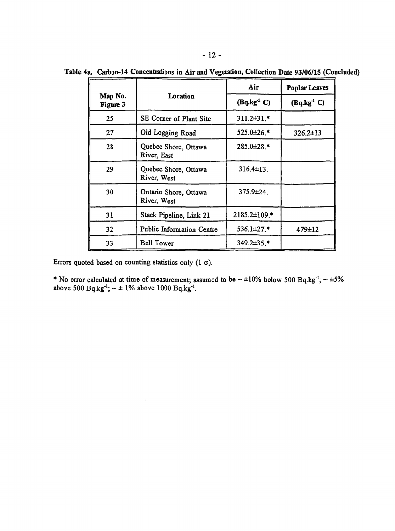|                     |                                      | Air                    | <b>Poplar Leaves</b>   |
|---------------------|--------------------------------------|------------------------|------------------------|
| Map No.<br>Figure 3 | Location                             | $(Bq \cdot kg^{-1} C)$ | $(Bq \cdot kg^{-1} C)$ |
| 25                  | SE Corner of Plant Site              | $311.2 \pm 31$ .*      |                        |
| 27                  | Old Logging Road                     | $525.0 \pm 26.$ *      | $326.2 \pm 13$         |
| 28                  | Quebec Shore, Ottawa<br>River, East  | 285.0±28.*             |                        |
| 29                  | Quebec Shore, Ottawa<br>River, West  | $316.4 \pm 13$ .       |                        |
| 30                  | Ontario Shore, Ottawa<br>River, West | $375.9 \pm 24.$        |                        |
| 31                  | Stack Pipeline, Link 21              | 2185.2±109.*           |                        |
| 32 <sub>2</sub>     | Public Information Centre            | 536.1±27.*             | $479 \pm 12$           |
| 33                  | <b>Bell Tower</b>                    | 349.2±35.*             |                        |

**Table 4a Carbon-14 Concentrations in Air and Vegetation, Collection Date 93/06/15 (Concluded)**

Errors quoted based on counting statistics only  $(1 \sigma)$ .

\* No error calculated at time of measurement; assumed to be  $\sim \pm 10\%$  below 500 Bq.kg<sup>-1</sup>;  $\sim \pm 5\%$ above 500  $Bq.kg^{-1}$ ;  $\sim \pm 1\%$  above 1000  $Bq.kg^{-1}$ .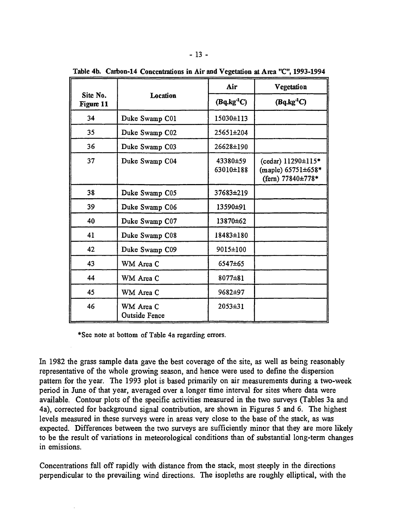|                       |                                   | Air                   | Vegetation                                                    |
|-----------------------|-----------------------------------|-----------------------|---------------------------------------------------------------|
| Site No.<br>Figure 11 | Location                          | $(Bq \cdot kg^{-1}C)$ | $(Bq \cdot kg^{-1}C)$                                         |
| 34                    | Duke Swamp C01                    | 15030±113             |                                                               |
| 35                    | Duke Swamp C02                    | 25651±204             |                                                               |
| 36                    | Duke Swamp C03                    | 26628±190             |                                                               |
| 37                    | Duke Swamp C04                    | 43380±59<br>63010±188 | (cedar) 11290±115*<br>(maple) 65751±658*<br>(fern) 77840±778* |
| 38                    | Duke Swamp C05                    | 37683±219             |                                                               |
| 39                    | Duke Swamp C06                    | 13590±91              |                                                               |
| 40                    | Duke Swamp C07                    | 13870±62              |                                                               |
| 41                    | Duke Swamp C08                    | 18483±180             |                                                               |
| 42                    | Duke Swamp C09                    | 9015±100              |                                                               |
| 43                    | WM Area C                         | 6547±65               |                                                               |
| 44                    | WM Area C                         | $8077 \pm 81$         |                                                               |
| 45                    | WM Area C                         | 9682±97               |                                                               |
| 46                    | WM Area C<br><b>Outside Fence</b> | $2053 \pm 31$         |                                                               |

**Table 4b. Carbon-14 Concentrations in Air and Vegetation at Area "C", 1993-1994**

\*See note at bottom of Table 4a regarding errors.

In 1982 the grass sample data gave the best coverage of the site, as well as being reasonably representative of the whole growing season, and hence were used to define the dispersion pattern for the year. The 1993 plot is based primarily on air measurements during a two-week period in June of that year, averaged over a longer time interval for sites where data were available. Contour plots of the specific activities measured in the two surveys (Tables 3a and 4a), corrected for background signal contribution, are shown in Figures 5 and 6. The highest levels measured in these surveys were in areas very close to the base of the stack, as was expected. Differences between the two surveys are sufficiently minor that they are more likely to be the result of variations in meteorological conditions than of substantial long-term changes in emissions.

Concentrations fall off rapidly with distance from the stack, most steeply in the directions perpendicular to the prevailing wind directions. The isopleths are roughly elliptical, with the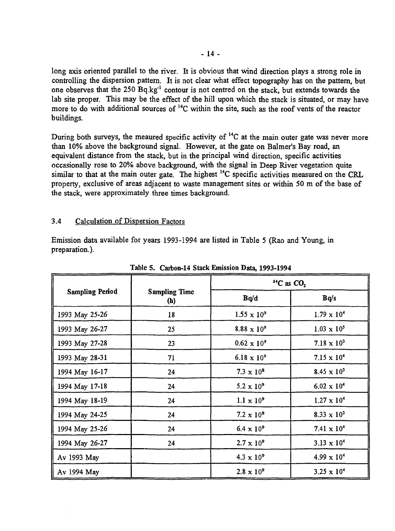long axis oriented parallel to the river. It is obvious that wind direction plays a strong role in controlling the dispersion pattern. It is not clear what effect topography has on the pattern, but one observes that the 250 Bq.kg<sup>-1</sup> contour is not centred on the stack, but extends towards the lab site proper. This may be the effect of the hill upon which the stack is situated, or may have more to do with additional sources of <sup>14</sup>C within the site, such as the roof vents of the reactor buildings.

During both surveys, the meaured specific activity of <sup>14</sup>C at the main outer gate was never more than 10% above the background signal. However, at the gate on Balmer's Bay road, an equivalent distance from the stack, but in the principal wind direction, specific activities occasionally rose to 20% above background, with the signal in Deep River vegetation quite similar to that at the main outer gate. The highest <sup>14</sup>C specific activities measured on the CRL property, exclusive of areas adjacent to waste management sites or within 50 m of the base of the stack, were approximately three times background.

#### 3.4 Calculation of Dispersion Factors

Emission data available for years 1993-1994 are listed in Table 5 (Rao and Young, in preparation.).

|                        |                                    |                      | <sup>14</sup> C as $CO2$      |
|------------------------|------------------------------------|----------------------|-------------------------------|
| <b>Sampling Period</b> | <b>Sampling Time</b><br><b>(h)</b> | Bq/d                 | Bq/s                          |
| 1993 May 25-26         | 18                                 | $1.55 \times 10^{9}$ | $1.79 \times 10^{4}$          |
| 1993 May 26-27         | 25                                 | $8.88 \times 10^{9}$ | $1.03 \times 10^{5}$          |
| 1993 May 27-28         | 23                                 | $0.62 \times 10^{9}$ | 7.18 $\times$ 10 <sup>3</sup> |
| 1993 May 28-31         | 71                                 | $6.18 \times 10^{9}$ | $7.15 \times 10^{4}$          |
| 1994 May 16-17         | 24                                 | $7.3 \times 10^8$    | $8.45 \times 10^{3}$          |
| 1994 May 17-18         | 24                                 | $5.2 \times 10^{9}$  | $6.02 \times 10^{4}$          |
| 1994 May 18-19         | 24                                 | $1.1 \times 10^{9}$  | $1.27 \times 10^4$            |
| 1994 May 24-25         | 24                                 | $7.2 \times 10^8$    | $8.33 \times 10^{3}$          |
| 1994 May 25-26         | 24                                 | $6.4 \times 10^{9}$  | 7.41 $\times$ 10 <sup>4</sup> |
| 1994 May 26-27         | 24                                 | $2.7 \times 10^{9}$  | $3.13 \times 10^{4}$          |
| Av 1993 May            |                                    | $4.3 \times 10^{9}$  | $4.99 \times 10^{4}$          |
| Av 1994 May            |                                    | $2.8 \times 10^{9}$  | $3.25 \times 10^{4}$          |

Table 5. Carbon-14 Stack Emission Data, 1993-1994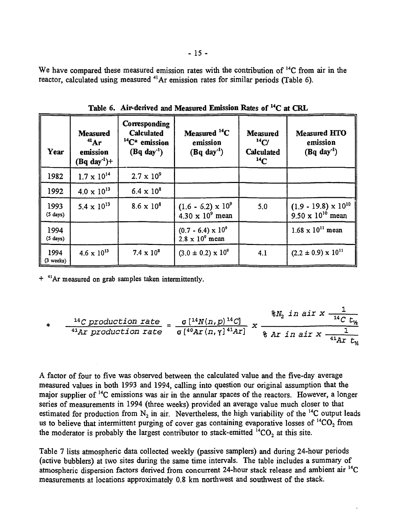We have compared these measured emission rates with the contribution of <sup>14</sup>C from air in the reactor, calculated using measured <sup>41</sup>Ar emission rates for similar periods (Table 6).

| Year                       | <b>Measured</b><br>$A^4$ Ar<br>emission<br>$(Bq \, day^{-1})+$ | Corresponding<br><b>Calculated</b><br>$14C*$ emission<br>$(Bq day-1)$ | Measured $^{14}C$<br>emission<br>$(Bq day-1)$          | <b>Measured</b><br>$^{14}C/$<br><b>Calculated</b><br>$^{14}C$ | <b>Measured HTO</b><br>emission<br>$(Bq day-1)$             |
|----------------------------|----------------------------------------------------------------|-----------------------------------------------------------------------|--------------------------------------------------------|---------------------------------------------------------------|-------------------------------------------------------------|
| 1982                       | $1.7 \times 10^{14}$                                           | $2.7 \times 10^{9}$                                                   |                                                        |                                                               |                                                             |
| 1992                       | $4.0 \times 10^{13}$                                           | $6.4 \times 10^{8}$                                                   |                                                        |                                                               |                                                             |
| 1993<br>$(5 \text{ days})$ | $5.4 \times 10^{13}$                                           | $8.6 \times 10^{8}$                                                   | $(1.6 - 6.2) \times 10^{9}$<br>$4.30 \times 10^9$ mean | 5.0                                                           | $(1.9 - 19.8) \times 10^{10}$<br>$9.50 \times 10^{10}$ mean |
| 1994<br>$(5 \text{ days})$ |                                                                |                                                                       | $(0.7 - 6.4) \times 10^{9}$<br>$2.8 \times 10^9$ mean  |                                                               | $1.68 \times 10^{11}$ mean                                  |
| 1994<br>(3 weeks)          | $4.6 \times 10^{13}$                                           | $7.4 \times 10^8$                                                     | $(3.0 \pm 0.2) \times 10^{9}$                          | 4.1                                                           | $(2.2 \pm 0.9) \times 10^{11}$                              |

Table 6. Air-derived and Measured Emission Rates of <sup>14</sup>C at CRL

<sup>+ 41</sup>Ar measured on grab samples taken intermittently.

$$
*\qquad \frac{{^{14}C\,production\,rate}}{{^{41}Ar\,production\,rate}} = \frac{\sigma\, [{{^{14}N}(n,p)}^{\,14}C]}{\sigma\, [{{^{40}Ar}\, (n,\gamma)}^{\,41}Ar\, ]} \; x \; \frac{{^{8}N_2\,in\,air\,x}}{\frac{9}{\pi\,in\,air\,x\, \frac{1}{41Ar\, t_y}}}
$$

A factor of four to five was observed between the calculated value and the five-day average measured values in both 1993 and 1994, calling into question our original assumption that the major supplier of <sup>14</sup>C emissions was air in the annular spaces of the reactors. However, a longer series of measurements in 1994 (three weeks) provided an average value much closer to that estimated for production from  $N_2$  in air. Nevertheless, the high variability of the <sup>14</sup>C output leads us to believe that intermittent purging of cover gas containing evaporative losses of  $^{14}CO_2$  from the moderator is probably the largest contributor to stack-emitted  ${}^{14}CO_2$  at this site.

Table 7 lists atmospheric data collected weekly (passive samplers) and during 24-hour periods (active bubblers) at two sites during the same time intervals. The table includes a summary of atmospheric dispersion factors derived from concurrent 24-hour stack release and ambient air <sup>14</sup>C measurements at locations approximately 0.8 km northwest and southwest of the stack.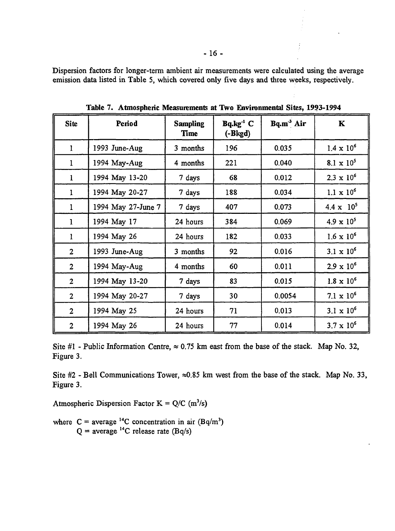Dispersion factors for longer-term ambient air measurements were calculated using the average emission data listed in Table 5, which covered only five days and three weeks, respectively.

| <b>Site</b>    | Period             | <b>Sampling</b><br>Time | $Bq.kg^{-1}C$<br>$(-Bkgd)$ | Bq.m <sup>3</sup> Air | $\mathbf K$         |
|----------------|--------------------|-------------------------|----------------------------|-----------------------|---------------------|
| $\mathbf{1}$   | 1993 June-Aug      | 3 months                | 196                        | 0.035                 | $1.4 \times 10^{6}$ |
| 1              | 1994 May-Aug       | 4 months                | 221                        | 0.040                 | $8.1 \times 10^5$   |
| l              | 1994 May 13-20     | 7 days                  | 68                         | 0.012                 | $2.3 \times 10^{6}$ |
| 1              | 1994 May 20-27     | 7 days                  | 188                        | 0.034                 | $1.1 \times 10^{6}$ |
| 1              | 1994 May 27-June 7 | 7 days                  | 407                        | 0.073                 | $4.4 \times 10^{5}$ |
| 1              | 1994 May 17        | 24 hours                | 384                        | 0.069                 | $4.9 \times 10^{5}$ |
| 1              | 1994 May 26        | 24 hours                | 182                        | 0.033                 | $1.6 \times 10^{6}$ |
| $\overline{2}$ | 1993 June-Aug      | 3 months                | 92                         | 0.016                 | $3.1 \times 10^{6}$ |
| $\overline{2}$ | 1994 May-Aug       | 4 months                | 60                         | 0.011                 | $2.9 \times 10^{6}$ |
| $\overline{2}$ | 1994 May 13-20     | 7 days                  | 83                         | 0.015                 | $1.8 \times 10^{6}$ |
| $\overline{2}$ | 1994 May 20-27     | 7 days                  | 30                         | 0.0054                | $7.1 \times 10^6$   |
| $\overline{2}$ | 1994 May 25        | 24 hours                | 71                         | 0.013                 | $3.1 \times 10^{6}$ |
| $\overline{2}$ | 1994 May 26        | 24 hours                | 77                         | 0.014                 | $3.7 \times 10^{6}$ |

**Table 7. Atmospheric Measurements at Two Environmental Sites, 1993-1994**

Site #1 - Public Information Centre,  $\approx 0.75$  km east from the base of the stack. Map No. 32, Figure 3.

Site #2 - Bell Communications Tower,  $\approx 0.85$  km west from the base of the stack. Map No. 33, Figure 3.

Atmospheric Dispersion Factor K =  $Q/C$  (m<sup>3</sup>/s)

where  $C = \text{average}^{14}C$  concentration in air  $(Bq/m^3)$  $Q =$  average <sup>14</sup>C release rate (Bq/s)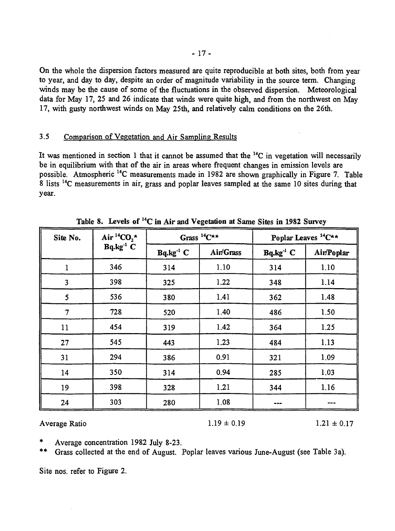On the whole the dispersion factors measured are quite reproducible at both sites, both from year to year, and day to day, despite an order of magnitude variability in the source term. Changing winds may be the cause of some of the fluctuations in the observed dispersion. Meteorological data for May 17, 25 and 26 indicate that winds were quite high, and from the northwest on May 17, with gusty northwest winds on May 25th, and relatively calm conditions on the 26th.

#### 3.5 Comparison of Vegetation and Air Sampling Results

It was mentioned in section 1 that it cannot be assumed that the <sup>14</sup>C in vegetation will necessarily be in equilibrium with that of the air in areas where frequent changes in emission levels are possible. Atmospheric <sup>14</sup>C measurements made in 1982 are shown graphically in Figure 7. Table 8 lists <sup>14</sup>C measurements in air, grass and poplar leaves sampled at the same 10 sites during that year.

| Site No.                | Air <sup>14</sup> CO <sub>2</sub> * |               | Grass ${}^{14}C^{\star\star}$ |                       | Poplar Leaves <sup>14</sup> C** |
|-------------------------|-------------------------------------|---------------|-------------------------------|-----------------------|---------------------------------|
|                         | $Bq.kg^{-1}C$                       | $Bq.kg^{-1}C$ | Air/Grass                     | Bq.kg <sup>-1</sup> C | Air/Poplar                      |
| $\mathbf{1}$            | 346                                 | 314           | 1.10                          | 314                   | 1.10                            |
| $\overline{\mathbf{3}}$ | 398                                 | 325           | 1.22                          | 348                   | 1.14                            |
| 5                       | 536                                 | 380           | 1.41                          | 362                   | 1.48                            |
| $\overline{7}$          | 728                                 | 520           | 1.40                          | 486                   | 1.50                            |
| 11                      | 454                                 | 319           | 1.42                          | 364                   | 1.25                            |
| 27                      | 545                                 | 443           | 1.23                          | 484                   | 1.13                            |
| 31                      | 294                                 | 386           | 0.91                          | 321                   | 1.09                            |
| 14                      | 350                                 | 314           | 0.94                          | 285                   | 1.03                            |
| 19                      | 398                                 | 328           | 1.21                          | 344                   | 1.16                            |
| 24                      | 303                                 | 280           | 1.08                          |                       |                                 |

Table 8. Levels of <sup>14</sup>C in Air and Vegetation at Same Sites in 1982 Survey

Average Ratio  $1.19 \pm 0.19$   $1.21 \pm 0.17$ 

Average concentration 1982 July 8-23.

Grass collected at the end of August. Poplar leaves various June-August (see Table 3a).

Site nos. refer to Figure 2.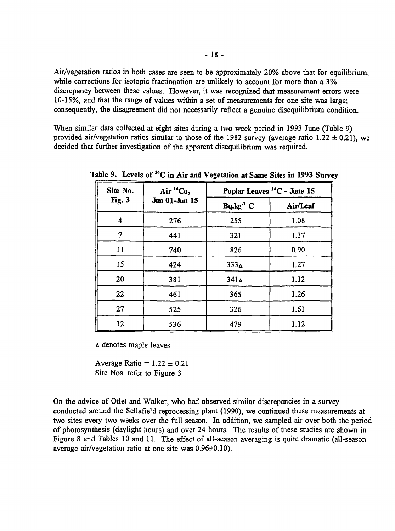Air/vegetation ratios in both cases are seen to be approximately 20% above that for equilibrium, while corrections for isotopic fractionation are unlikely to account for more than a 3% discrepancy between these values. However, it was recognized that measurement errors were 10-15%, and that the range of values within a set of measurements for one site was large; consequently, the disagreement did not necessarily reflect a genuine disequilibrium condition.

When similar data collected at eight sites during a two-week period in 1993 June (Table 9) provided air/vegetation ratios similar to those of the 1982 survey (average ratio 1.22  $\pm$  0.21), we decided that further investigation of the apparent disequilibrium was required.

| Site No. | Air $^{14}Co_2$ | Poplar Leaves <sup>14</sup> C - June 15 |          |
|----------|-----------------|-----------------------------------------|----------|
| Fig. 3   | Jun 01-Jun 15   | Bq.kg <sup>-1</sup> C                   | Air/Leaf |
| 4        | 276             | 255                                     | 1.08     |
| 7        | 441             | 321                                     | 1.37     |
| 11       | 740             | 826                                     | 0.90     |
| 15       | 424             | 333 <sub>4</sub>                        | 1.27     |
| 20       | 381             | 341 <sub>Δ</sub>                        | 1.12     |
| 22       | 461             | 365                                     | 1.26     |
| 27       | 525             | 326                                     | 1.61     |
| 32       | 536             | 479                                     | 1.12     |

**Table 9. Levels of <sup>14</sup>C in Air and Vegetation at Same Sites in 1993 Survey**

A denotes maple leaves

Average Ratio =  $1.22 \pm 0.21$ Site Nos. refer to Figure 3

On the advice of Otlet and Walker, who had observed similar discrepancies in a survey conducted around the Sellafield reprocessing plant (1990), we continued these measurements at two sites every two weeks over the full season. In addition, we sampled air over both the period of photosynthesis (daylight hours) and over 24 hours. The results of these studies are shown in Figure 8 and Tables 10 and 11. The effect of all-season averaging is quite dramatic (all-season average air/vegetation ratio at one site was 0.96±0.10).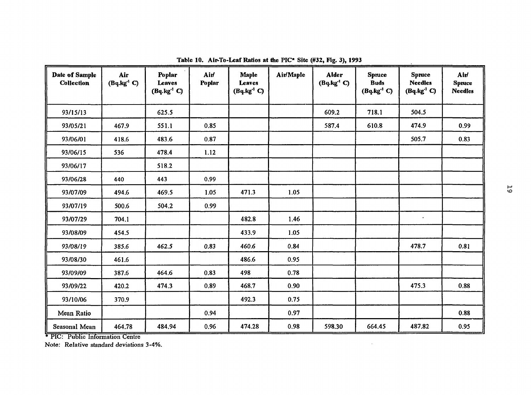| Date of Sample<br><b>Collection</b> | Air<br>$(Bq \cdot kg^{-1} C)$ | Poplar<br><b>Leaves</b><br>$(Bq.kg^{-1}C)$ | Air<br><b>Poplar</b> | <b>Maple</b><br><b>Leaves</b><br>$(Bq.kg-1 C)$ | Air/Maple | <b>Alder</b><br>$(Bq \cdot kg^{-1} C)$ | <b>Spruce</b><br><b>Buds</b><br>$(Bq.kg^{-1}C)$ | <b>Spruce</b><br><b>Needles</b><br>$(Bq.kg-1)$ | Air<br><b>Spruce</b><br><b>Needles</b> |
|-------------------------------------|-------------------------------|--------------------------------------------|----------------------|------------------------------------------------|-----------|----------------------------------------|-------------------------------------------------|------------------------------------------------|----------------------------------------|
| 93/15/13                            |                               | 625.5                                      |                      |                                                |           | 609.2                                  | 718.1                                           | 504.5                                          |                                        |
| 93/05/21                            | 467.9                         | 551.1                                      | 0.85                 |                                                |           | 587.4                                  | 610.8                                           | 474.9                                          | 0.99                                   |
| 93/06/01                            | 418.6                         | 483.6                                      | 0.87                 |                                                |           |                                        |                                                 | 505.7                                          | 0.83                                   |
| 93/06/15                            | 536                           | 478.4                                      | 1.12                 |                                                |           |                                        |                                                 |                                                |                                        |
| 93/06/17                            |                               | 518.2                                      |                      |                                                |           |                                        |                                                 |                                                |                                        |
| 93/06/28                            | 440                           | 443                                        | 0.99                 |                                                |           |                                        |                                                 |                                                |                                        |
| 93/07/09                            | 494.6                         | 469.5                                      | 1.05                 | 471.3                                          | 1.05      |                                        |                                                 |                                                |                                        |
| 93/07/19                            | 500.6                         | 504.2                                      | 0.99                 |                                                |           |                                        |                                                 |                                                |                                        |
| 93/07/29                            | 704.1                         |                                            |                      | 482.8                                          | 1.46      |                                        |                                                 | $\bullet$                                      |                                        |
| 93/08/09                            | 454.5                         |                                            |                      | 433.9                                          | 1.05      |                                        |                                                 |                                                |                                        |
| 93/08/19                            | 385.6                         | 462.5                                      | 0.83                 | 460.6                                          | 0.84      |                                        |                                                 | 478.7                                          | 0.81                                   |
| 93/08/30                            | 461.6                         |                                            |                      | 486.6                                          | 0.95      |                                        |                                                 |                                                |                                        |
| 93/09/09                            | 387.6                         | 464.6                                      | 0.83                 | 498                                            | 0.78      |                                        |                                                 |                                                |                                        |
| 93/09/22                            | 420.2                         | 474.3                                      | 0.89                 | 468.7                                          | 0.90      |                                        |                                                 | 475.3                                          | 0.88                                   |
| 93/10/06                            | 370.9                         |                                            |                      | 492.3                                          | 0.75      |                                        |                                                 |                                                |                                        |
| Mean Ratio                          |                               |                                            | 0.94                 |                                                | 0.97      |                                        |                                                 |                                                | 0.88                                   |
| Seasonal Mean                       | 464.78                        | 484.94                                     | 0.96                 | 474.28                                         | 0.98      | 598.30                                 | 664.45                                          | 487.82                                         | 0.95                                   |

 $\sim 10^{11}$  km s  $^{-1}$ 

**Table 10. Aip-To-Leaf Ratios at the PIC« Site (#32, Fig. 3), 1993**

\* PIC: Public Information Centre

Note: Relative standard deviations 3-4%.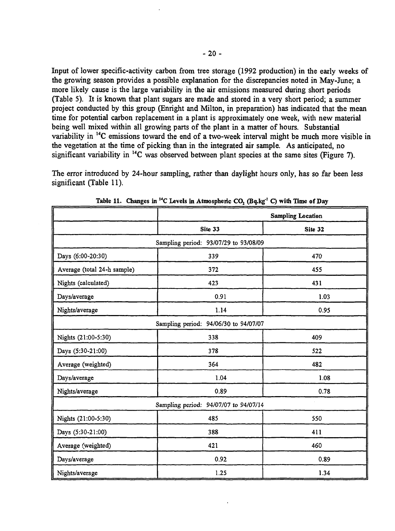Input of lower specific-activity carbon from tree storage (1992 production) in the early weeks of the growing season provides a possible explanation for the discrepancies noted in May-June; a more likely cause is the large variability in the air emissions measured during short periods (Table 5). It is known that plant sugars are made and stored in a very short period; a summer project conducted by this group (Enright and Milton, in preparation) has indicated that the mean time for potential carbon replacement in a plant is approximately one week, with new material being well mixed within all growing parts of the plant in a matter of hours. Substantial variability in <sup>14</sup>C emissions toward the end of a two-week interval might be much more visible in the vegetation at the time of picking than in the integrated air sample. As anticipated, no significant variability in <sup>14</sup>C was observed between plant species at the same sites (Figure 7).

The error introduced by 24-hour sampling, rather than daylight hours only, has so far been less significant (Table 11).

|                                       | <b>Sampling Location</b>              |      |  |  |  |  |  |
|---------------------------------------|---------------------------------------|------|--|--|--|--|--|
|                                       | Site 33                               |      |  |  |  |  |  |
| Sampling period: 93/07/29 to 93/08/09 |                                       |      |  |  |  |  |  |
| Days (6:00-20:30)                     | 339                                   | 470  |  |  |  |  |  |
| Average (total 24-h sample)           | 372                                   | 455  |  |  |  |  |  |
| Nights (calculated)                   | 423                                   | 431  |  |  |  |  |  |
| Days/average                          | 0.91                                  | 1.03 |  |  |  |  |  |
| Nights/average                        | 1.14                                  | 0.95 |  |  |  |  |  |
| Sampling period: 94/06/30 to 94/07/07 |                                       |      |  |  |  |  |  |
| Nights (21:00-5:30)                   | 338                                   | 409  |  |  |  |  |  |
| Days (5:30-21:00)                     | 378                                   | 522  |  |  |  |  |  |
| Average (weighted)                    | 364                                   | 482  |  |  |  |  |  |
| Days/average                          | 1.04                                  | 1.08 |  |  |  |  |  |
| Nights/average                        | 0.89                                  | 0.78 |  |  |  |  |  |
|                                       | Sampling period: 94/07/07 to 94/07/14 |      |  |  |  |  |  |
| Nights (21:00-5:30)                   | 485                                   | 550  |  |  |  |  |  |
| Days (5:30-21:00)                     | 388                                   | 411  |  |  |  |  |  |
| Average (weighted)                    | 421                                   | 460  |  |  |  |  |  |
| Days/average                          | 0.92                                  | 0.89 |  |  |  |  |  |
| Nights/average                        | 1.25                                  | 1.34 |  |  |  |  |  |

**Table 11. Changes in <sup>14</sup>C Levels in Atmospheric CO2 (Bq.kg\*<sup>1</sup>**  *Q* **with Time of Day**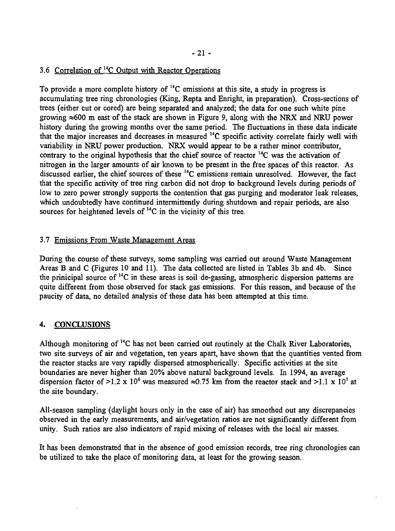## 3.6 Correlation of <sup>14</sup>C Output with Reactor Operations

To provide a more complete history of <sup>14</sup>C emissions at this site, a study in progress is accumulating tree ring chronologies (King, Repta and Enright, in preparation). Cross-sections of trees (either cut or cored) are being separated and analyzed; the data for one such white pine growing  $\approx 600$  m east of the stack are shown in Figure 9, along with the NRX and NRU power history during the growing months over the same period. The fluctuations in these data indicate that the major increases and decreases in measured <sup>14</sup>C specific activity correlate fairly well with variability in NRU power production. NRX would appear to be a rather minor contributor, contrary to the original hypothesis that the chief source of reactor  $^{14}$ C was the activation of nitrogen in the larger amounts of air known to be present in the free spaces of this reactor. As discussed earlier, the chief sources of these <sup>14</sup>C emissions remain unresolved. However, the fact that the specific activity of tree ring carbon did not drop to background levels during periods of low to zero power strongly supports the contention that gas purging and moderator leak releases, which undoubtedly have continued intermittently during shutdown and repair periods, are also sources for heightened levels of  $^{14}$ C in the vicinity of this tree.

#### 3.7 Emissions From Waste Management Areas

During the course of these surveys, some sampling was carried out around Waste Management Areas B and C (Figures 10 and 11). The data collected are listed in Tables 3b and 4b. Since the prinicipal source of <sup>14</sup>C in these areas is soil de-gassing, atmospheric dispersion patterns are quite different from those observed for stack gas emissions. For this reason, and because of the paucity of data, no detailed analysis of these data has been attempted at this time.

#### 4. CONCLUSIONS

Although monitoring of <sup>14</sup>C has not been carried out routinely at the Chalk River Laboratories, two site surveys of air and vegetation, ten years apart, have shown that the quantities vented from the reactor stacks are very rapidly dispersed atmospherically. Specific activities at the site boundaries are never higher than 20% above natural background levels. In 1994, an average dispersion factor of >1.2 x 10<sup>6</sup> was measured  $\approx 0.75$  km from the reactor stack and >1.1 x 10<sup>7</sup> at the site boundary.

All-season sampling (daylight hours only in the case of air) has smoothed out any discrepancies observed in the early measurements, and air/vegetation ratios are not significantly different from unity. Such ratios are also indicators of rapid mixing of releases with the local air masses.

It has been demonstrated that in the absence of good emission records, tree ring chronologies can be utilized to take the place of monitoring data, at least for the growing season.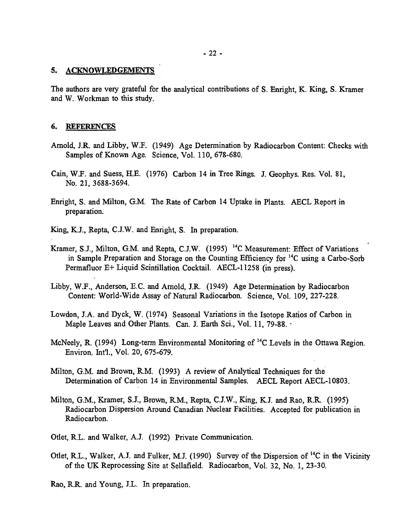#### 5. ACKNOWLEDGEMENTS

The authors are very grateful for the analytical contributions of S. Enright, K. King, S. Kramer and W. Workman to this study.

#### 6. REFERENCES

- Arnold, J.R. and Libby, W.F. (1949) Age Determination by Radiocarbon Content: Checks with Samples of Known Age. Science, Vol. 110, 678-680.
- Cain, W.F. and Suess, H.E. (1976) Carbon 14 in Tree Rings. J. Geophys. Res. Vol. 81, No. 21, 3688-3694.
- Enright, S. and Milton, G.M. The Rate of Carbon 14 Uptake in Plants. AECL Report in preparation.
- King, K.J., Repta, C.J.W. and Enright, S. In preparation.
- Kramer, S.J., Milton, G.M. and Repta, C.J.W. (1995)<sup>14</sup>C Measurement: Effect of Variations in Sample Preparation and Storage on the Counting Efficiency for <sup>14</sup>C using a Carbo-Sorb Permafluor E+ Liquid Scintillation Cocktail. AECL-11258 (in press).
- Libby, W.F., Anderson, E.C. and Arnold, J.R. (1949) Age Determination by Radiocarbon Content: World-Wide Assay of Natural Radiocarbon. Science, Vol. 109, 227-228.
- Lowdon, J.A. and Dyck, W. (1974) Seasonal Variations in the Isotope Ratios of Carbon in Maple Leaves and Other Plants. Can. J. Earth Sci., Vol. 11, 79-88. •
- McNeely, R. (1994) Long-term Environmental Monitoring of <sup>14</sup>C Levels in the Ottawa Region. Environ. Int'l., Vol. 20, 675-679.
- Milton, G.M. and Brown, R.M. (1993) A review of Analytical Techniques for the Determination of Carbon 14 in Environmental Samples. AECL Report AECL-10803.
- Milton, G.M., Kramer, S.J., Brown, R.M., Repta, C.J.W., King, K.J. and Rao, R.R. (1995) Radiocarbon Dispersion Around Canadian Nuclear Facilities. Accepted for publication in Radiocarbon.
- Otlet, R.L. and Walker, A.J. (1992) Private Communication.
- Otlet, R.L., Walker, A.J. and Fulker, M.J. (1990) Survey of the Dispersion of <sup>14</sup>C in the Vicinity of the UK Reprocessing Site at Sellafield. Radiocarbon, Vol. 32, No. 1, 23-30.

Rao, R.R. and Young, J.L. In preparation.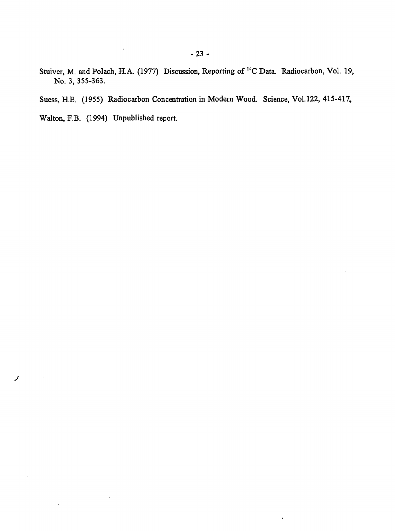Stuiver, M. and Polach, H.A. (1977) Discussion, Reporting of <sup>14</sup>C Data. Radiocarbon, Vol. 19, No. 3, 355-363.

Suess, H.E. (1955) Radiocarbon Concentration in Modern Wood. Science, Vol.122, 415-417,

 $\bar{\mathcal{A}}$ 

 $\ddot{\phantom{a}}$ 

Walton, F.B. (1994) Unpublished report.

 $\bar{\ell}$ 

 $\ddot{\phantom{a}}$ 

**J**

 $\bar{z}$ 

 $\ddot{\phantom{a}}$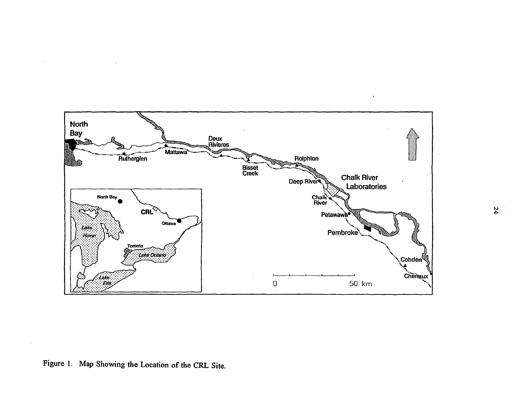

 $\sim$ 

 $\mathcal{L}_{\mathcal{A}}$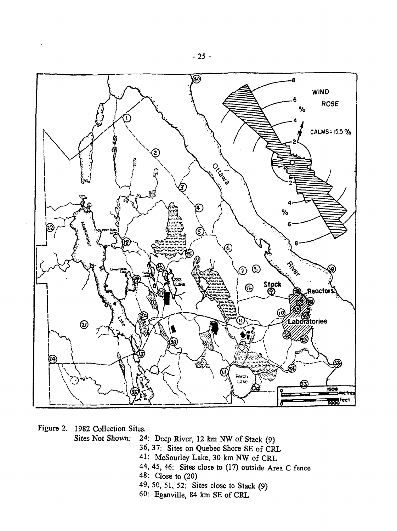

Figure 2. 1982 Collection Sites.

- Sites Not Shown: 24: Deep River, 12 km NW of Stack (9)
	- 36, 37: Sites on Quebec Shore SE of CRL
	- 41: McSourley Lake, 30 km NW of CRL
	- 44, 45, 46: Sites close to (17) outside Area C fence
	- 48: Close to (20)
	- 49, 50, 51, 52: Sites close to Stack (9)
	- 60: Eganville, 84 km SE of CRL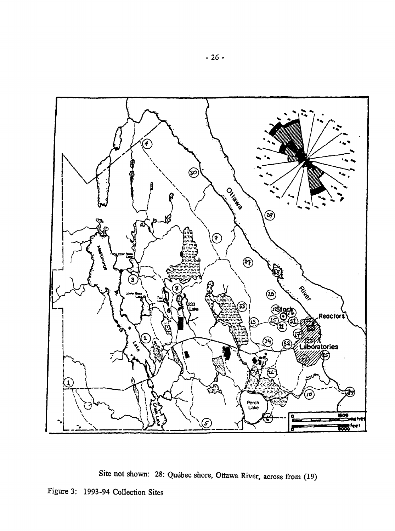

Site not shown: 28: Québec shore, Ottawa River, across from (19)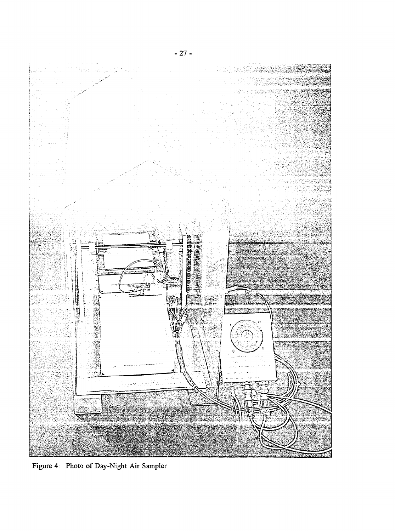

Figure 4: Photo of Day-Night Air Sampler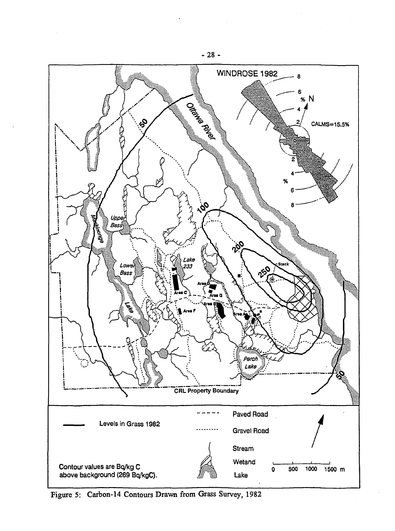

Figure 5: Carbon-14 Contours Drawn from Grass Survey, 1982

-28 -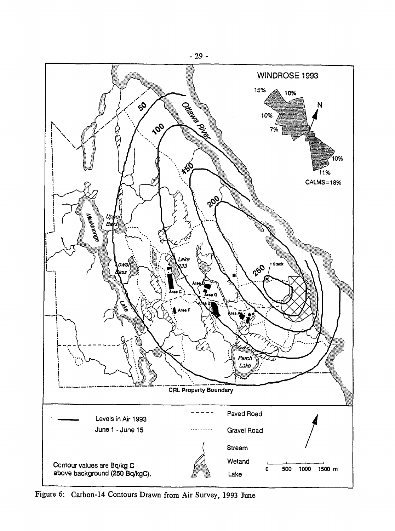

Figure 6: Carbon-14 Contours Drawn from Air Survey, 1993 June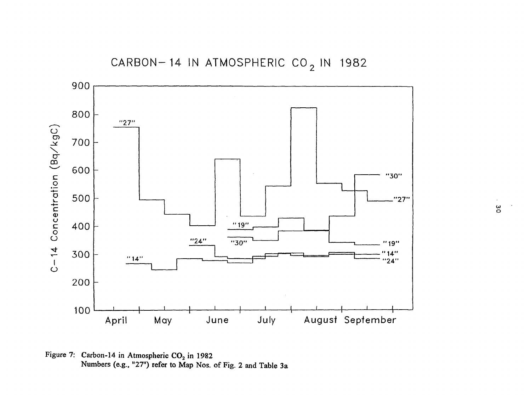

Figure 7: Carbon-14 in Atmospheric  $CO<sub>2</sub>$  in 1982 Numbers (e.g., "27") refer to Map Nos. of Fig. 2 and Table 3 a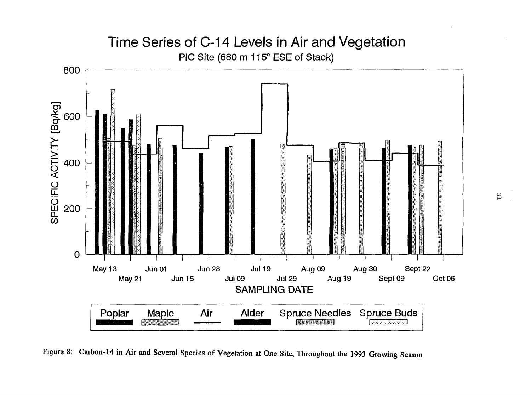# Time Series of C-14 Levels in Air and Vegetation PIC Site (680 m 115° ESE of Stack)



Figure 8: Carbon-14 in Air and Several Species of Vegetation at One Site, Throughout the 1993 Growing Season

입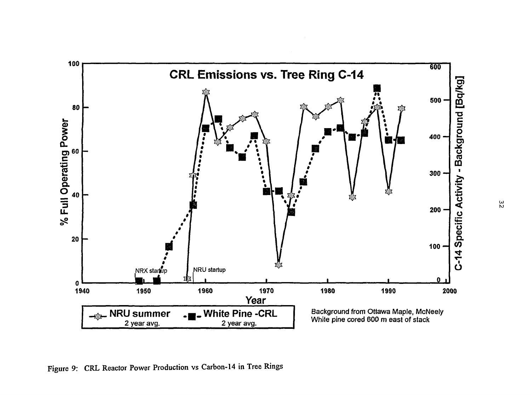

Figure 9: CRL Reactor Power Production vs Carbon-14 in Tree Rings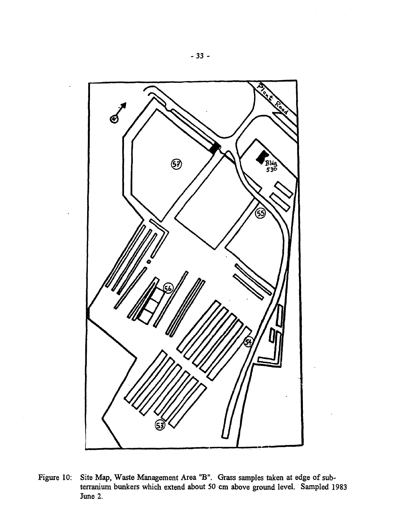

Figure 10: Site Map, Waste Management Area "B". Grass samples taken at edge of subterranium bunkers which extend about 50 cm above ground level. Sampled 1983 June 2.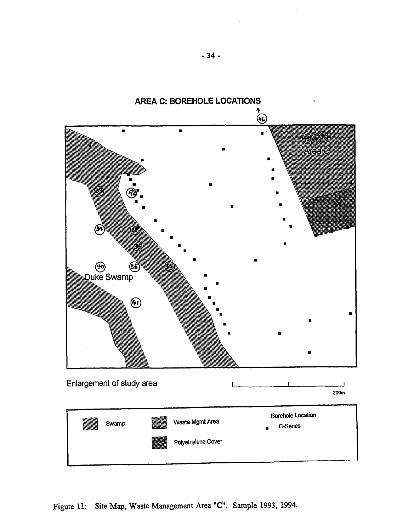

Figure 11: Site Map, Waste Management Area "C". Sample 1993, 1994.

**-34 -**